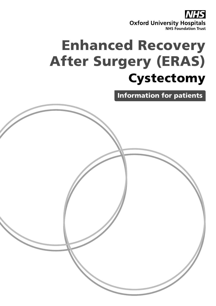

# Enhanced Recovery After Surgery (ERAS) **Cystectomy**

Information for patients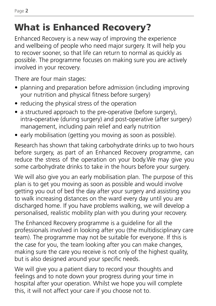## What is Enhanced Recovery?

Enhanced Recovery is a new way of improving the experience and wellbeing of people who need major surgery. It will help you to recover sooner, so that life can return to normal as quickly as possible. The programme focuses on making sure you are actively involved in your recovery.

There are four main stages:

- planning and preparation before admission (including improving your nutrition and physical fitness before surgery)
- reducing the physical stress of the operation
- a structured approach to the pre-operative (before surgery), intra-operative (during surgery) and post-operative (after surgery) management, including pain relief and early nutrition
- early mobilisation (getting you moving as soon as possible).

Research has shown that taking carbohydrate drinks up to two hours before surgery, as part of an Enhanced Recovery programme, can reduce the stress of the operation on your body.We may give you some carbohydrate drinks to take in the hours before your surgery.

We will also give you an early mobilisation plan. The purpose of this plan is to get you moving as soon as possible and would involve getting you out of bed the day after your surgery and assisting you to walk increasing distances on the ward every day until you are discharged home. If you have problems walking, we will develop a personalised, realistic mobility plan with you during your recovery.

The Enhanced Recovery programme is a guideline for all the professionals involved in looking after you (the multidisciplinary care team). The programme may not be suitable for everyone. If this is the case for you, the team looking after you can make changes, making sure the care you receive is not only of the highest quality, but is also designed around your specific needs.

We will give you a patient diary to record your thoughts and feelings and to note down your progress during your time in hospital after your operation. Whilst we hope you will complete this, it will not affect your care if you choose not to.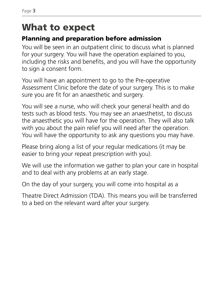## What to expect

#### Planning and preparation before admission

You will be seen in an outpatient clinic to discuss what is planned for your surgery. You will have the operation explained to you, including the risks and benefits, and you will have the opportunity to sign a consent form.

You will have an appointment to go to the Pre-operative Assessment Clinic before the date of your surgery. This is to make sure you are fit for an anaesthetic and surgery.

You will see a nurse, who will check your general health and do tests such as blood tests. You may see an anaesthetist, to discuss the anaesthetic you will have for the operation. They will also talk with you about the pain relief you will need after the operation. You will have the opportunity to ask any questions you may have.

Please bring along a list of your regular medications (it may be easier to bring your repeat prescription with you).

We will use the information we gather to plan your care in hospital and to deal with any problems at an early stage.

On the day of your surgery, you will come into hospital as a

Theatre Direct Admission (TDA). This means you will be transferred to a bed on the relevant ward after your surgery.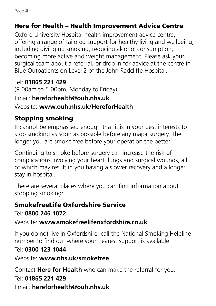#### Here for Health – Health Improvement Advice Centre

Oxford University Hospital health improvement advice centre, offering a range of tailored support for healthy living and wellbeing, including giving up smoking, reducing alcohol consumption, becoming more active and weight management. Please ask your surgical team about a referral, or drop in for advice at the centre in Blue Outpatients on Level 2 of the John Radcliffe Hospital.

#### Tel: **01865 221 429**

(9.00am to 5.00pm, Monday to Friday) Email: **hereforhealth@ouh.nhs.uk** Website: **www.ouh.nhs.uk/HereforHealth**

### Stopping smoking

It cannot be emphasised enough that it is in your best interests to stop smoking as soon as possible before any major surgery. The longer you are smoke free before your operation the better.

Continuing to smoke before surgery can increase the risk of complications involving your heart, lungs and surgical wounds, all of which may result in you having a slower recovery and a longer stay in hospital.

There are several places where you can find information about stopping smoking:

### SmokefreeLife Oxfordshire Service

Tel: **0800 246 1072**

Website: **www.smokefreelifeoxfordshire.co.uk**

If you do not live in Oxfordshire, call the National Smoking Helpline number to find out where your nearest support is available.

### Tel: **0300 123 1044**

Website: **www.nhs.uk/smokefree** 

Contact **Here for Health** who can make the referral for you.

## Tel: **01865 221 429**

Email: **hereforhealth@ouh.nhs.uk**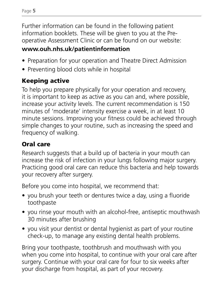Further information can be found in the following patient information booklets. These will be given to you at the Preoperative Assessment Clinic or can be found on our website:

#### **www.ouh.nhs.uk/patientinformation**

- Preparation for your operation and Theatre Direct Admission
- Preventing blood clots while in hospital

### Keeping active

To help you prepare physically for your operation and recovery, it is important to keep as active as you can and, where possible, increase your activity levels. The current recommendation is 150 minutes of 'moderate' intensity exercise a week, in at least 10 minute sessions. Improving your fitness could be achieved through simple changes to your routine, such as increasing the speed and frequency of walking.

#### Oral care

Research suggests that a build up of bacteria in your mouth can increase the risk of infection in your lungs following major surgery. Practicing good oral care can reduce this bacteria and help towards your recovery after surgery.

Before you come into hospital, we recommend that:

- you brush your teeth or dentures twice a day, using a fluoride toothpaste
- you rinse your mouth with an alcohol-free, antiseptic mouthwash 30 minutes after brushing
- you visit your dentist or dental hygienist as part of your routine check-up, to manage any existing dental health problems.

Bring your toothpaste, toothbrush and mouthwash with you when you come into hospital, to continue with your oral care after surgery. Continue with your oral care for four to six weeks after your discharge from hospital, as part of your recovery.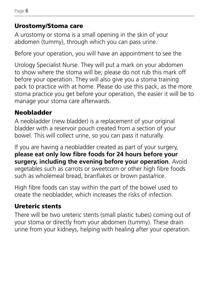#### Urostomy/Stoma care

A urostomy or stoma is a small opening in the skin of your abdomen (tummy), through which you can pass urine.

Before your operation, you will have an appointment to see the

Urology Specialist Nurse. They will put a mark on your abdomen to show where the stoma will be; please do not rub this mark off before your operation. They will also give you a stoma training pack to practice with at home. Please do use this pack, as the more stoma practice you get before your operation, the easier it will be to manage your stoma care afterwards.

### Neobladder

A neobladder (new bladder) is a replacement of your original bladder with a reservoir pouch created from a section of your bowel. This will collect urine, so you can pass it naturally.

If you are having a neobladder created as part of your surgery, **please eat only low fibre foods for 24 hours before your surgery, including the evening before your operation**. Avoid vegetables such as carrots or sweetcorn or other high fibre foods such as wholemeal bread, branflakes or brown pasta/rice.

High fibre foods can stay within the part of the bowel used to create the neobladder, which increases the risks of infection.

### Ureteric stents

There will be two ureteric stents (small plastic tubes) coming out of your stoma or directly from your abdomen (tummy). These drain urine from your kidneys, helping with healing after your operation.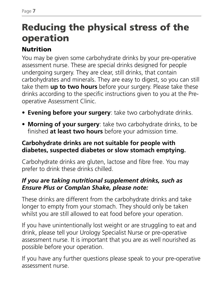## Reducing the physical stress of the operation

## Nutrition

You may be given some carbohydrate drinks by your pre-operative assessment nurse. These are special drinks designed for people undergoing surgery. They are clear, still drinks, that contain carbohydrates and minerals. They are easy to digest, so you can still take them **up to two hours** before your surgery. Please take these drinks according to the specific instructions given to you at the Preoperative Assessment Clinic.

- **• Evening before your surgery**: take two carbohydrate drinks.
- **• Morning of your surgery**: take two carbohydrate drinks, to be finished **at least two hours** before your admission time.

#### **Carbohydrate drinks are not suitable for people with diabetes, suspected diabetes or slow stomach emptying.**

Carbohydrate drinks are gluten, lactose and fibre free. You may prefer to drink these drinks chilled.

#### *If you are taking nutritional supplement drinks, such as Ensure Plus or Complan Shake, please note:*

These drinks are different from the carbohydrate drinks and take longer to empty from your stomach. They should only be taken whilst you are still allowed to eat food before your operation.

If you have unintentionally lost weight or are struggling to eat and drink, please tell your Urology Specialist Nurse or pre-operative assessment nurse. It is important that you are as well nourished as possible before your operation.

If you have any further questions please speak to your pre-operative assessment nurse.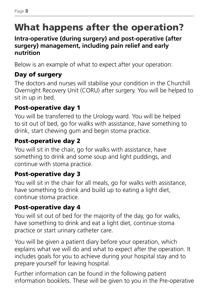## What happens after the operation?

#### **Intra-operative (during surgery) and post-operative (after surgery) management, including pain relief and early nutrition**

Below is an example of what to expect after your operation:

### Day of surgery

The doctors and nurses will stabilise your condition in the Churchill Overnight Recovery Unit (CORU) after surgery. You will be helped to sit in up in bed.

### Post-operative day 1

You will be transferred to the Urology ward. You will be helped to sit out of bed, go for walks with assistance, have something to drink, start chewing gum and begin stoma practice.

### Post-operative day 2

You will sit in the chair, go for walks with assistance, have something to drink and some soup and light puddings, and continue with stoma practice.

### Post-operative day 3

You will sit in the chair for all meals, go for walks with assistance, have something to drink and build up to eating a light diet, continue stoma practice.

## Post-operative day 4

You will sit out of bed for the majority of the day, go for walks, have something to drink and eat a light diet, continue stoma practice or start urinary catheter care.

You will be given a patient diary before your operation, which explains what we will do and what to expect after the operation. It includes goals for you to achieve during your hospital stay and to prepare yourself for leaving hospital.

Further information can be found in the following patient information booklets. These will be given to you in the Pre-operative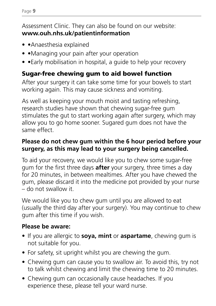#### Assessment Clinic. They can also be found on our website: **www.ouh.nhs.uk/patientinformation**

- •Anaesthesia explained
- • Managing your pain after your operation
- • Early mobilisation in hospital, a quide to help your recovery

### Sugar-free chewing gum to aid bowel function

After your surgery it can take some time for your bowels to start working again. This may cause sickness and vomiting.

As well as keeping your mouth moist and tasting refreshing, research studies have shown that chewing sugar-free gum stimulates the gut to start working again after surgery, which may allow you to go home sooner. Sugared gum does not have the same effect.

#### **Please do not chew gum within the 6 hour period before your surgery, as this may lead to your surgery being cancelled.**

To aid your recovery, we would like you to chew some sugar-free gum for the first three days **after** your surgery, three times a day for 20 minutes, in between mealtimes. After you have chewed the gum, please discard it into the medicine pot provided by your nurse – do not swallow it.

We would like you to chew gum until you are allowed to eat (usually the third day after your surgery). You may continue to chew gum after this time if you wish.

#### **Please be aware:**

- If you are allergic to **soya, mint** or **aspartame**, chewing gum is not suitable for you.
- For safety, sit upright whilst you are chewing the gum.
- Chewing gum can cause you to swallow air. To avoid this, try not to talk whilst chewing and limit the chewing time to 20 minutes.
- Chewing gum can occasionally cause headaches. If you experience these, please tell your ward nurse.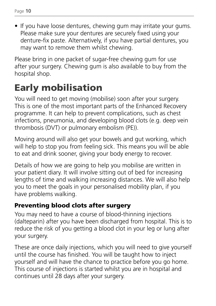• If you have loose dentures, chewing gum may irritate your gums. Please make sure your dentures are securely fixed using your denture-fix paste. Alternatively, if you have partial dentures, you may want to remove them whilst chewing.

Please bring in one packet of sugar-free chewing gum for use after your surgery. Chewing gum is also available to buy from the hospital shop.

## Early mobilisation

You will need to get moving (mobilise) soon after your surgery. This is one of the most important parts of the Enhanced Recovery programme. It can help to prevent complications, such as chest infections, pneumonia, and developing blood clots (e.g. deep vein thrombosis (DVT) or pulmonary embolism (PE)).

Moving around will also get your bowels and gut working, which will help to stop you from feeling sick. This means you will be able to eat and drink sooner, giving your body energy to recover.

Details of how we are going to help you mobilise are written in your patient diary. It will involve sitting out of bed for increasing lengths of time and walking increasing distances. We will also help you to meet the goals in your personalised mobility plan, if you have problems walking.

### Preventing blood clots after surgery

You may need to have a course of blood-thinning injections (dalteparin) after you have been discharged from hospital. This is to reduce the risk of you getting a blood clot in your leg or lung after your surgery.

These are once daily injections, which you will need to give yourself until the course has finished. You will be taught how to inject yourself and will have the chance to practice before you go home. This course of injections is started whilst you are in hospital and continues until 28 days after your surgery.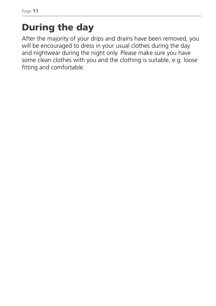## During the day

After the majority of your drips and drains have been removed, you will be encouraged to dress in your usual clothes during the day and nightwear during the night only. Please make sure you have some clean clothes with you and the clothing is suitable, e.g. loose fitting and comfortable.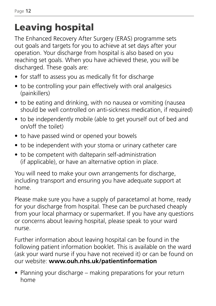## Leaving hospital

The Enhanced Recovery After Surgery (ERAS) programme sets out goals and targets for you to achieve at set days after your operation. Your discharge from hospital is also based on you reaching set goals. When you have achieved these, you will be discharged. These goals are:

- for staff to assess you as medically fit for discharge
- to be controlling your pain effectively with oral analgesics (painkillers)
- to be eating and drinking, with no nausea or vomiting (nausea should be well controlled on anti-sickness medication, if required)
- to be independently mobile (able to get yourself out of bed and on/off the toilet)
- to have passed wind or opened your bowels
- to be independent with your stoma or urinary catheter care
- to be competent with dalteparin self-administration (if applicable), or have an alternative option in place.

You will need to make your own arrangements for discharge, including transport and ensuring you have adequate support at home.

Please make sure you have a supply of paracetamol at home, ready for your discharge from hospital. These can be purchased cheaply from your local pharmacy or supermarket. If you have any questions or concerns about leaving hospital, please speak to your ward nurse.

Further information about leaving hospital can be found in the following patient information booklet. This is available on the ward (ask your ward nurse if you have not received it) or can be found on our website: **www.ouh.nhs.uk/patientinformation**

• Planning your discharge – making preparations for your return home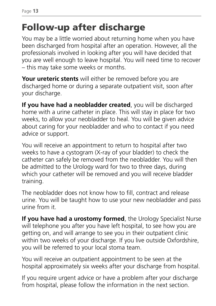## Follow-up after discharge

You may be a little worried about returning home when you have been discharged from hospital after an operation. However, all the professionals involved in looking after you will have decided that you are well enough to leave hospital. You will need time to recover – this may take some weeks or months.

**Your ureteric stents** will either be removed before you are discharged home or during a separate outpatient visit, soon after your discharge.

**If you have had a neobladder created**, you will be discharged home with a urine catheter in place. This will stay in place for two weeks, to allow your neobladder to heal. You will be given advice about caring for your neobladder and who to contact if you need advice or support.

You will receive an appointment to return to hospital after two weeks to have a cystogram (X-ray of your bladder) to check the catheter can safely be removed from the neobladder. You will then be admitted to the Urology ward for two to three days, during which your catheter will be removed and you will receive bladder training.

The neobladder does not know how to fill, contract and release urine. You will be taught how to use your new neobladder and pass urine from it.

**If you have had a urostomy formed**, the Urology Specialist Nurse will telephone you after you have left hospital, to see how you are getting on, and will arrange to see you in their outpatient clinic within two weeks of your discharge. If you live outside Oxfordshire, you will be referred to your local stoma team.

You will receive an outpatient appointment to be seen at the hospital approximately six weeks after your discharge from hospital.

If you require urgent advice or have a problem after your discharge from hospital, please follow the information in the next section.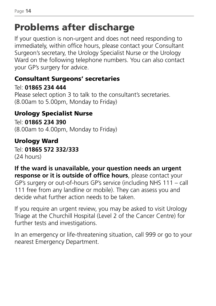## Problems after discharge

If your question is non-urgent and does not need responding to immediately, within office hours, please contact your Consultant Surgeon's secretary, the Urology Specialist Nurse or the Urology Ward on the following telephone numbers. You can also contact your GP's surgery for advice.

#### Consultant Surgeons' secretaries

Tel: **01865 234 444** Please select option 3 to talk to the consultant's secretaries. (8.00am to 5.00pm, Monday to Friday)

### Urology Specialist Nurse

Tel: **01865 234 390** (8.00am to 4.00pm, Monday to Friday)

### Urology Ward

Tel: **01865 572 332/333** (24 hours)

#### **If the ward is unavailable, your question needs an urgent response or it is outside of office hours**, please contact your

GP's surgery or out-of-hours GP's service (including NHS 111 – call 111 free from any landline or mobile). They can assess you and decide what further action needs to be taken.

If you require an urgent review, you may be asked to visit Urology Triage at the Churchill Hospital (Level 2 of the Cancer Centre) for further tests and investigations.

In an emergency or life-threatening situation, call 999 or go to your nearest Emergency Department.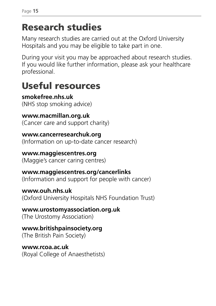## Research studies

Many research studies are carried out at the Oxford University Hospitals and you may be eligible to take part in one.

During your visit you may be approached about research studies. If you would like further information, please ask your healthcare professional.

## Useful resources

**smokefree.nhs.uk**  (NHS stop smoking advice)

**www.macmillan.org.uk**  (Cancer care and support charity)

**www.cancerresearchuk.org** (Information on up-to-date cancer research)

#### **www.maggiescentres.org**  (Maggie's cancer caring centres)

**www.maggiescentres.org/cancerlinks**  (Information and support for people with cancer)

**www.ouh.nhs.uk**  (Oxford University Hospitals NHS Foundation Trust)

**www.urostomyassociation.org.uk**  (The Urostomy Association)

**www.britishpainsociety.org**  (The British Pain Society)

**www.rcoa.ac.uk**  (Royal College of Anaesthetists)